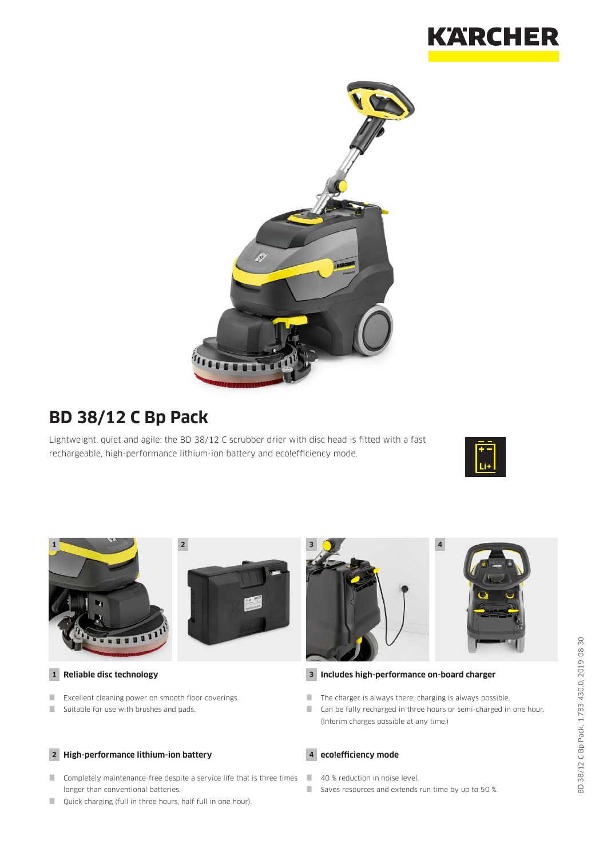



# **BD 38/12 C Bp Pack**

Lightweight, quiet and agile: the BD 38/12 C scrubber drier with disc head is fitted with a fast rechargeable, high-performance lithium-ion battery and eco!efficiency mode.







**1 Reliable disc technology**

- **EXCELLENT CLEANING POWER ON SMOOTH FLOOR** COVERINGS.
- Suitable for use with brushes and pads.

#### **2 High-performance lithium-ion battery**

- **Completely maintenance-free despite a service life that is three times** longer than conventional batteries.
- **Quick charging (full in three hours, half full in one hour).**



#### **3 Includes high-performance on-board charger**

- $\blacksquare$  The charger is always there; charging is always possible.
- Can be fully recharged in three hours or semi-charged in one hour. (Interim charges possible at any time.)



- 40 % reduction in noise level.
- Saves resources and extends run time by up to 50 %.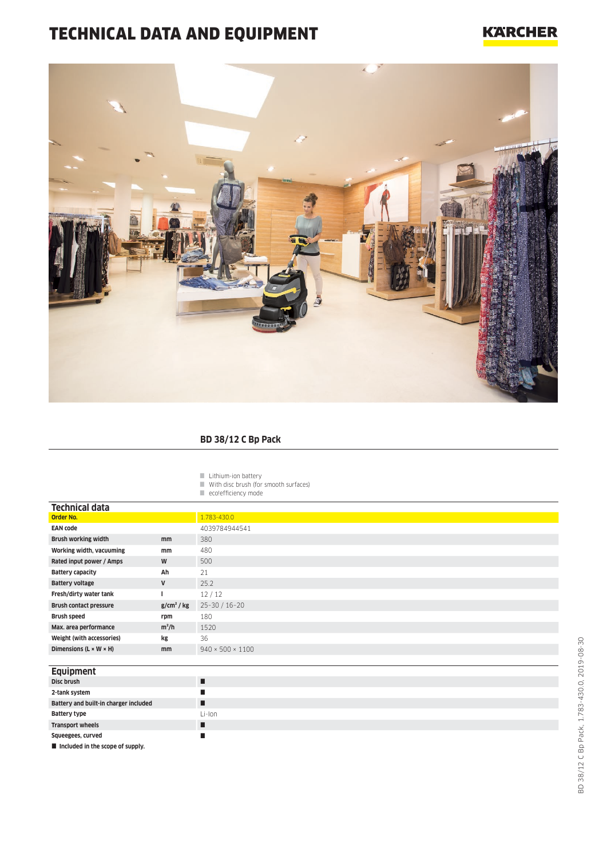# TECHNICAL DATA AND EQUIPMENT

#### **KARCHER**



#### **BD 38/12 C Bp Pack**

Lithium-ion battery

 $\blacksquare$  With disc brush (for smooth surfaces)

eco!efficiency mode

| <b>Technical data</b>                |               |                              |
|--------------------------------------|---------------|------------------------------|
| <b>Order No.</b>                     |               | 1.783-430.0                  |
| <b>EAN code</b>                      |               | 4039784944541                |
| <b>Brush working width</b>           | mm            | 380                          |
| Working width, vacuuming             | mm            | 480                          |
| Rated input power / Amps             | W             | 500                          |
| <b>Battery capacity</b>              | Ah            | 21                           |
| <b>Battery voltage</b>               | $\mathsf{V}$  | 25.2                         |
| Fresh/dirty water tank               |               | 12/12                        |
| <b>Brush contact pressure</b>        | $g/cm2$ / kg  | $25 - 30 / 16 - 20$          |
| Brush speed                          | rpm           | 180                          |
| Max. area performance                | $m^2/h$       | 1520                         |
| Weight (with accessories)            | kg            | 36                           |
| Dimensions ( $L \times W \times H$ ) | <sub>mm</sub> | $940 \times 500 \times 1100$ |
|                                      |               |                              |

| Equipment                             |          |
|---------------------------------------|----------|
| Disc brush                            |          |
| 2-tank system                         |          |
| Battery and built-in charger included |          |
| <b>Battery type</b>                   | $Li-Ion$ |
| <b>Transport wheels</b>               |          |
| Squeegees, curved                     |          |
| Included in the scope of supply.      |          |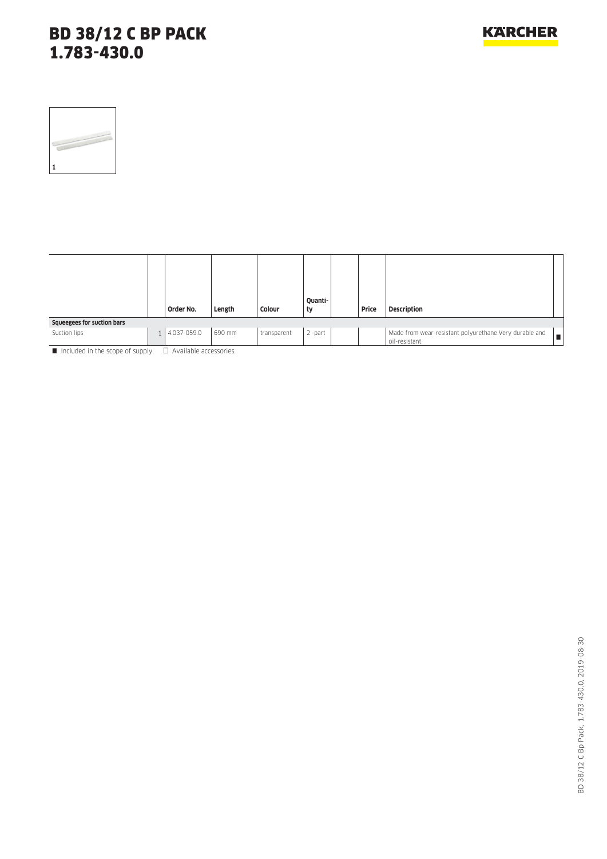| 1 |  |  |
|---|--|--|

|                            |                | Order No.   | Length | Colour      | Quanti-<br>ty | Price | <b>Description</b>                                                       |
|----------------------------|----------------|-------------|--------|-------------|---------------|-------|--------------------------------------------------------------------------|
| Squeegees for suction bars |                |             |        |             |               |       |                                                                          |
| Suction lips               | 1 <sup>1</sup> | 4.037-059.0 | 690 mm | transparent | 2 -part       |       | Made from wear-resistant polyurethane Very durable and<br>oil-resistant. |

 $\blacksquare$  Included in the scope of supply.  $\Box$  Available accessories.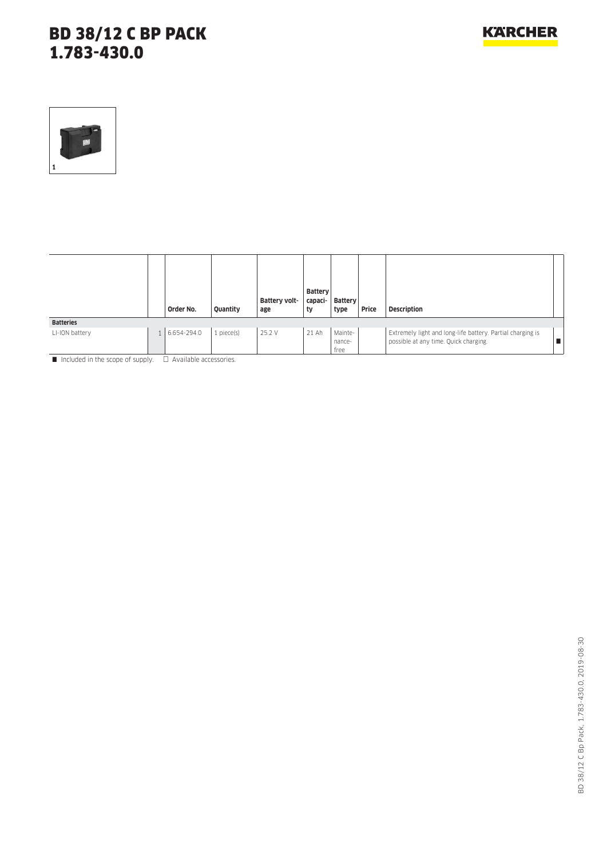

|                  | Order No.   | Quantity        | Battery volt-<br>age | <b>Battery</b><br>capaci-<br>ty | Battery<br>type           | Price | <b>Description</b>                                                                                  |  |
|------------------|-------------|-----------------|----------------------|---------------------------------|---------------------------|-------|-----------------------------------------------------------------------------------------------------|--|
| <b>Batteries</b> |             |                 |                      |                                 |                           |       |                                                                                                     |  |
| LI-ION battery   | 6.654-294.0 | $1$ piece $(s)$ | 25.2 V               | 21 Ah                           | Mainte-<br>nance-<br>free |       | Extremely light and long-life battery. Partial charging is<br>possible at any time. Quick charging. |  |

Included in the scope of supply.  $\Box$  Available accessories.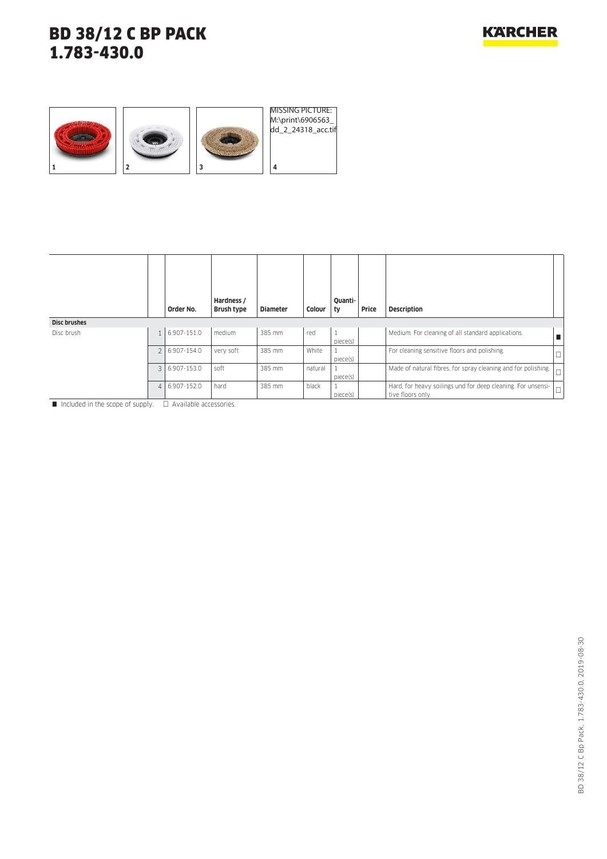

|                     |                | Order No.     | Hardness /<br>Brush type | <b>Diameter</b> | Colour  | Quanti-<br>, ty | Price | <b>Description</b>                                                                |        |
|---------------------|----------------|---------------|--------------------------|-----------------|---------|-----------------|-------|-----------------------------------------------------------------------------------|--------|
| <b>Disc brushes</b> |                |               |                          |                 |         |                 |       |                                                                                   |        |
| Disc brush          |                | 6.907-151.0   | medium                   | 385 mm          | red     | piece(s)        |       | Medium. For cleaning of all standard applications.                                |        |
|                     |                | 2 6.907-154.0 | very soft                | 385 mm          | White   | piece(s)        |       | For cleaning sensitive floors and polishing.                                      | ۳      |
|                     | 3 <sup>1</sup> | 6.907-153.0   | soft                     | 385 mm          | natural | piece(s)        |       | Made of natural fibres, for spray cleaning and for polishing.                     | $\Box$ |
|                     | $\vert$        | 6.907-152.0   | hard                     | 385 mm          | black   | piece(s)        |       | Hard, for heavy soilings und for deep cleaning. For unsensi-<br>tive floors only. |        |

 $\Box$  Included in the scope of supply.  $\Box$  Available accessories.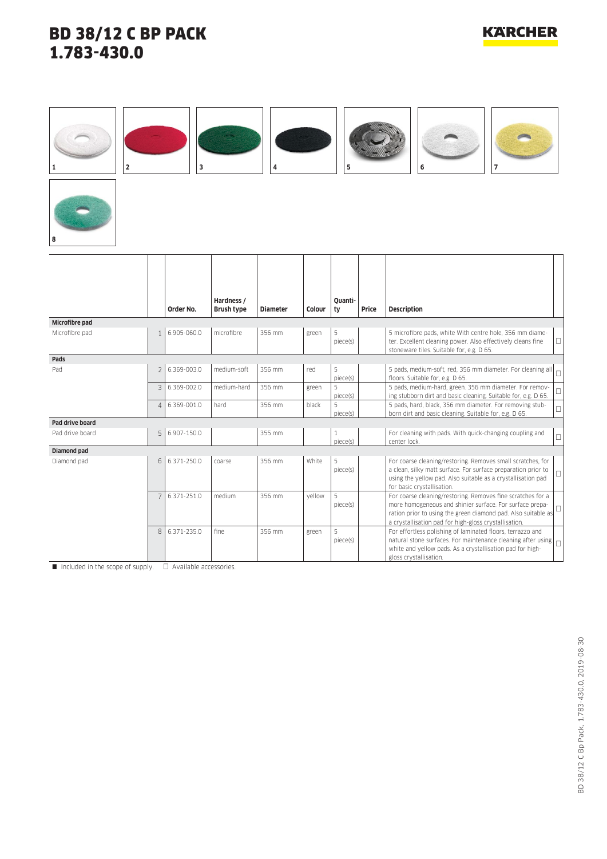#### **1 2 3 4 5 6 7 8 Order No. Hardness / Brush type Diameter Colour Quantity Price Description Microfibre pad** Microfibre pad 1 1 6.905-060.0 microfibre 356 mm green 5 piece(s) 5 microfibre pads, white With centre hole, 356 mm diameter. Excellent cleaning power. Also effectively cleans fine stoneware tiles. Suitable for, e.g. D 65.  $\Box$ **Pads** Pad 2 6.369-003.0 medium-soft 356 mm red 5 piece(s) 5 pads, medium-soft, red, 356 mm diameter. For cleaning all 5 pads, medium-sort, red, 356 mm diameter. For cleaning all  $\Box$ 3 6.369-002.0 medium-hard 356 mm green 5 piece(s) 5 pads, medium-hard, green. 356 mm diameter. For remov-5 pads, medium-hard, green. 356 mm diameter. For remov-<br>ing stubborn dirt and basic cleaning. Suitable for, e.g. D 65. 4 6.369-001.0 hard 356 mm black 5 piece(s) 5 pads, hard, black, 356 mm diameter. For removing stubb pads, hard, black, 356 mm diameter. For removing stub-<br>born dirt and basic cleaning. Suitable for, e.g. D 65. **Pad drive board** Pad drive board 1 5 6.907-150.0 355 mm 1 1 piece(s) For cleaning with pads. With quick-changing coupling and For creating with paus, with quick-changing cooping and **Diamond pad** Diamond pad 6 6.371-250.0 coarse 356 mm White 5 piece(s) For coarse cleaning/restoring. Removes small scratches, for a clean, silky matt surface. For surface preparation prior to using the yellow pad. Also suitable as a crystallisation pad for basic crystallisation.  $\Box$ 7 6.371-251.0 medium 356 mm yellow 5 piece(s) For coarse cleaning/restoring. Removes fine scratches for a more homogeneous and shinier surface. For surface preparation prior to using the green diamond pad. Also suitable as a crystallisation pad for high-gloss crystallisation. L 8 6.371-235.0 fine 356 mm green 5 piece(s) For effortless polishing of laminated floors, terrazzo and natural stone surfaces. For maintenance cleaning after using white and yellow pads. As a crystallisation pad for high- $\overline{\mathsf{L}}$

gloss crystallisation.

Included in the scope of supply.  $\Box$  Available accessories.

# 3D 38/12 C Bp Pack, 1.783-430.0, 2019-08-30 BD 38/12 C Bp Pack, 1.783-430.0, 2019-08-30

# **KARCHER**